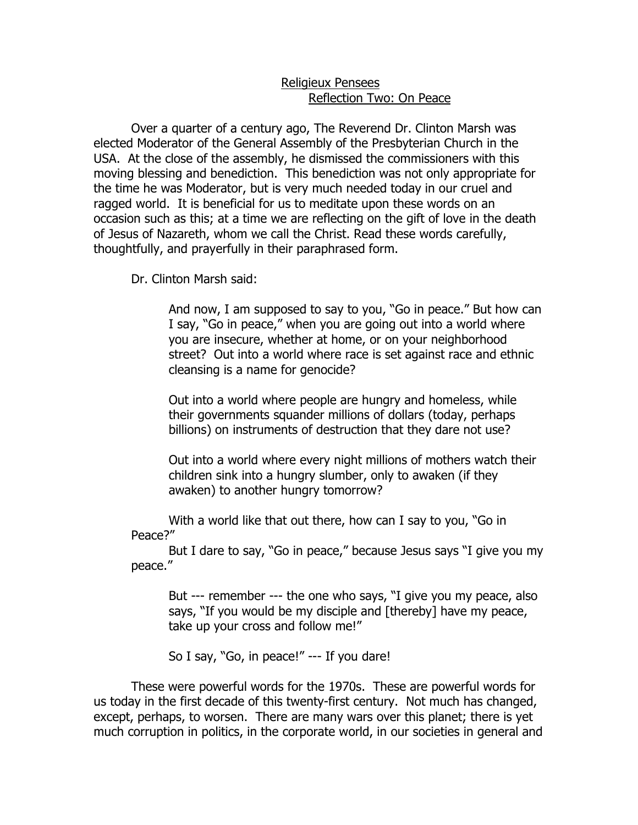## Religieux Pensees Reflection Two: On Peace

 Over a quarter of a century ago, The Reverend Dr. Clinton Marsh was elected Moderator of the General Assembly of the Presbyterian Church in the USA. At the close of the assembly, he dismissed the commissioners with this moving blessing and benediction. This benediction was not only appropriate for the time he was Moderator, but is very much needed today in our cruel and ragged world. It is beneficial for us to meditate upon these words on an occasion such as this; at a time we are reflecting on the gift of love in the death of Jesus of Nazareth, whom we call the Christ. Read these words carefully, thoughtfully, and prayerfully in their paraphrased form.

Dr. Clinton Marsh said:

And now, I am supposed to say to you, "Go in peace." But how can I say, "Go in peace," when you are going out into a world where you are insecure, whether at home, or on your neighborhood street? Out into a world where race is set against race and ethnic cleansing is a name for genocide?

Out into a world where people are hungry and homeless, while their governments squander millions of dollars (today, perhaps billions) on instruments of destruction that they dare not use?

Out into a world where every night millions of mothers watch their children sink into a hungry slumber, only to awaken (if they awaken) to another hungry tomorrow?

With a world like that out there, how can I say to you, "Go in Peace?"

But I dare to say, "Go in peace," because Jesus says "I give you my peace."

But --- remember --- the one who says, "I give you my peace, also says, "If you would be my disciple and [thereby] have my peace, take up your cross and follow me!"

So I say, "Go, in peace!" --- If you dare!

These were powerful words for the 1970s. These are powerful words for us today in the first decade of this twenty-first century. Not much has changed, except, perhaps, to worsen. There are many wars over this planet; there is yet much corruption in politics, in the corporate world, in our societies in general and